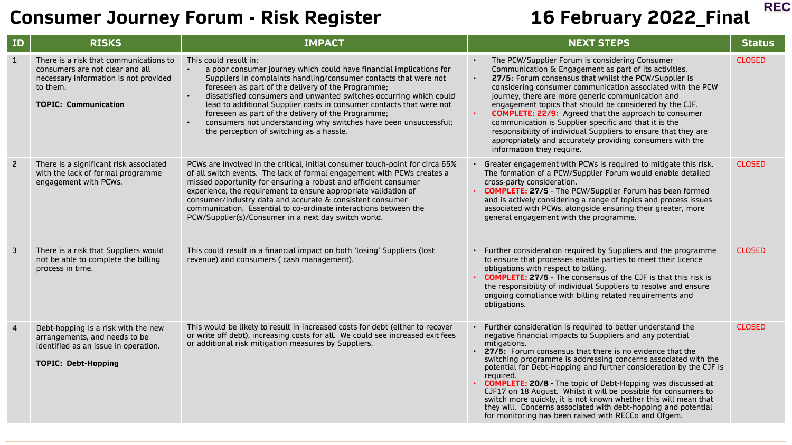**REC** 

| ID             | <b>RISKS</b>                                                                                                                                                  | <b>IMPACT</b>                                                                                                                                                                                                                                                                                                                                                                                                                                                                                                                              | <b>NEXT STEPS</b>                                                                                                                                                                                                                                                                                                                                                                                                                                                                                                                                                                                                                                                                                 | <b>Status</b> |
|----------------|---------------------------------------------------------------------------------------------------------------------------------------------------------------|--------------------------------------------------------------------------------------------------------------------------------------------------------------------------------------------------------------------------------------------------------------------------------------------------------------------------------------------------------------------------------------------------------------------------------------------------------------------------------------------------------------------------------------------|---------------------------------------------------------------------------------------------------------------------------------------------------------------------------------------------------------------------------------------------------------------------------------------------------------------------------------------------------------------------------------------------------------------------------------------------------------------------------------------------------------------------------------------------------------------------------------------------------------------------------------------------------------------------------------------------------|---------------|
| $\mathbf{1}$   | There is a risk that communications to<br>consumers are not clear and all<br>necessary information is not provided<br>to them.<br><b>TOPIC: Communication</b> | This could result in:<br>a poor consumer journey which could have financial implications for<br>Suppliers in complaints handling/consumer contacts that were not<br>foreseen as part of the delivery of the Programme;<br>dissatisfied consumers and unwanted switches occurring which could<br>lead to additional Supplier costs in consumer contacts that were not<br>foreseen as part of the delivery of the Programme;<br>consumers not understanding why switches have been unsuccessful;<br>the perception of switching as a hassle. | The PCW/Supplier Forum is considering Consumer<br>Communication & Engagement as part of its activities.<br>27/5: Forum consensus that whilst the PCW/Supplier is<br>$\bullet$<br>considering consumer communication associated with the PCW<br>journey, there are more generic communication and<br>engagement topics that should be considered by the CJF.<br><b>COMPLETE: 22/9:</b> Agreed that the approach to consumer<br>communication is Supplier specific and that it is the<br>responsibility of individual Suppliers to ensure that they are<br>appropriately and accurately providing consumers with the<br>information they require.                                                   | <b>CLOSED</b> |
| $\overline{c}$ | There is a significant risk associated<br>with the lack of formal programme<br>engagement with PCWs.                                                          | PCWs are involved in the critical, initial consumer touch-point for circa 65%<br>of all switch events. The lack of formal engagement with PCWs creates a<br>missed opportunity for ensuring a robust and efficient consumer<br>experience, the requirement to ensure appropriate validation of<br>consumer/industry data and accurate & consistent consumer<br>communication. Essential to co-ordinate interactions between the<br>PCW/Supplier(s)/Consumer in a next day switch world.                                                    | • Greater engagement with PCWs is required to mitigate this risk.<br>The formation of a PCW/Supplier Forum would enable detailed<br>cross-party consideration.<br><b>COMPLETE: 27/5</b> - The PCW/Supplier Forum has been formed<br>and is actively considering a range of topics and process issues<br>associated with PCWs, alongside ensuring their greater, more<br>general engagement with the programme.                                                                                                                                                                                                                                                                                    | <b>CLOSED</b> |
| 3              | There is a risk that Suppliers would<br>not be able to complete the billing<br>process in time.                                                               | This could result in a financial impact on both 'losing' Suppliers (lost<br>revenue) and consumers ( cash management).                                                                                                                                                                                                                                                                                                                                                                                                                     | • Further consideration required by Suppliers and the programme<br>to ensure that processes enable parties to meet their licence<br>obligations with respect to billing.<br><b>COMPLETE: 27/5</b> - The consensus of the CJF is that this risk is<br>the responsibility of individual Suppliers to resolve and ensure<br>ongoing compliance with billing related requirements and<br>obligations.                                                                                                                                                                                                                                                                                                 | <b>CLOSED</b> |
| 4              | Debt-hopping is a risk with the new<br>arrangements, and needs to be<br>identified as an issue in operation.<br><b>TOPIC: Debt-Hopping</b>                    | This would be likely to result in increased costs for debt (either to recover<br>or write off debt), increasing costs for all. We could see increased exit fees<br>or additional risk mitigation measures by Suppliers.                                                                                                                                                                                                                                                                                                                    | • Further consideration is required to better understand the<br>negative financial impacts to Suppliers and any potential<br>mitigations.<br>27/5: Forum consensus that there is no evidence that the<br>switching programme is addressing concerns associated with the<br>potential for Debt-Hopping and further consideration by the CJF is<br>required.<br><b>COMPLETE: 20/8 - The topic of Debt-Hopping was discussed at</b><br>CJF17 on 18 August. Whilst it will be possible for consumers to<br>switch more quickly, it is not known whether this will mean that<br>they will. Concerns associated with debt-hopping and potential<br>for monitoring has been raised with RECCo and Ofgem. | <b>CLOSED</b> |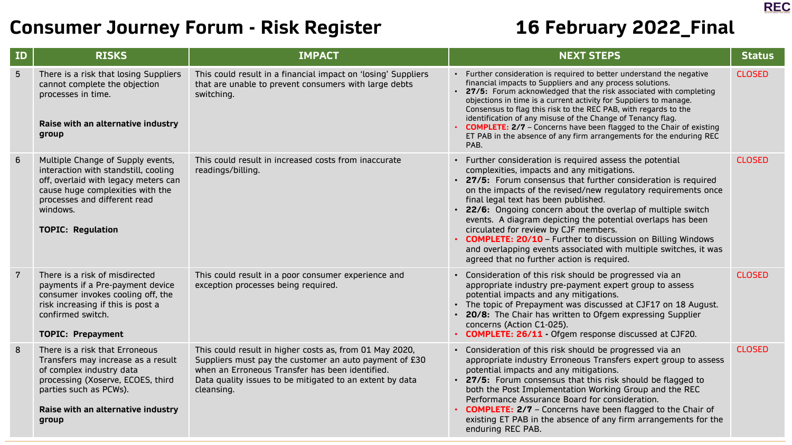

| ID              | <b>RISKS</b>                                                                                                                                                                                                                  | <b>IMPACT</b>                                                                                                                                                                                                                                  | <b>NEXT STEPS</b>                                                                                                                                                                                                                                                                                                                                                                                                                                                                                                                                                                                                                            | <b>Status</b> |
|-----------------|-------------------------------------------------------------------------------------------------------------------------------------------------------------------------------------------------------------------------------|------------------------------------------------------------------------------------------------------------------------------------------------------------------------------------------------------------------------------------------------|----------------------------------------------------------------------------------------------------------------------------------------------------------------------------------------------------------------------------------------------------------------------------------------------------------------------------------------------------------------------------------------------------------------------------------------------------------------------------------------------------------------------------------------------------------------------------------------------------------------------------------------------|---------------|
| $5\overline{)}$ | There is a risk that losing Suppliers<br>cannot complete the objection<br>processes in time.<br>Raise with an alternative industry<br>group                                                                                   | This could result in a financial impact on 'losing' Suppliers<br>that are unable to prevent consumers with large debts<br>switching.                                                                                                           | • Further consideration is required to better understand the negative<br>financial impacts to Suppliers and any process solutions.<br>• 27/5: Forum acknowledged that the risk associated with completing<br>objections in time is a current activity for Suppliers to manage.<br>Consensus to flag this risk to the REC PAB, with regards to the<br>identification of any misuse of the Change of Tenancy flag.<br><b>COMPLETE: 2/7</b> - Concerns have been flagged to the Chair of existing<br>ET PAB in the absence of any firm arrangements for the enduring REC<br>PAB.                                                                | <b>CLOSED</b> |
| 6               | Multiple Change of Supply events,<br>interaction with standstill, cooling<br>off, overlaid with legacy meters can<br>cause huge complexities with the<br>processes and different read<br>windows.<br><b>TOPIC: Regulation</b> | This could result in increased costs from inaccurate<br>readings/billing.                                                                                                                                                                      | • Further consideration is required assess the potential<br>complexities, impacts and any mitigations.<br>• 27/5: Forum consensus that further consideration is required<br>on the impacts of the revised/new regulatory requirements once<br>final legal text has been published.<br>• 22/6: Ongoing concern about the overlap of multiple switch<br>events. A diagram depicting the potential overlaps has been<br>circulated for review by CJF members.<br>• COMPLETE: 20/10 - Further to discussion on Billing Windows<br>and overlapping events associated with multiple switches, it was<br>agreed that no further action is required. | <b>CLOSED</b> |
| $\overline{7}$  | There is a risk of misdirected<br>payments if a Pre-payment device<br>consumer invokes cooling off, the<br>risk increasing if this is post a<br>confirmed switch.<br><b>TOPIC: Prepayment</b>                                 | This could result in a poor consumer experience and<br>exception processes being required.                                                                                                                                                     | • Consideration of this risk should be progressed via an<br>appropriate industry pre-payment expert group to assess<br>potential impacts and any mitigations.<br>• The topic of Prepayment was discussed at CJF17 on 18 August.<br>• 20/8: The Chair has written to Ofgem expressing Supplier<br>concerns (Action C1-025).<br>• COMPLETE: 26/11 - Ofgem response discussed at CJF20.                                                                                                                                                                                                                                                         | <b>CLOSED</b> |
| 8               | There is a risk that Erroneous<br>Transfers may increase as a result<br>of complex industry data<br>processing (Xoserve, ECOES, third<br>parties such as PCWs).<br>Raise with an alternative industry<br>group                | This could result in higher costs as, from 01 May 2020,<br>Suppliers must pay the customer an auto payment of £30<br>when an Erroneous Transfer has been identified.<br>Data quality issues to be mitigated to an extent by data<br>cleansing. | • Consideration of this risk should be progressed via an<br>appropriate industry Erroneous Transfers expert group to assess<br>potential impacts and any mitigations.<br>• 27/5: Forum consensus that this risk should be flagged to<br>both the Post Implementation Working Group and the REC<br>Performance Assurance Board for consideration.<br><b>COMPLETE: 2/7</b> - Concerns have been flagged to the Chair of<br>existing ET PAB in the absence of any firm arrangements for the<br>enduring REC PAB.                                                                                                                                | <b>CLOSED</b> |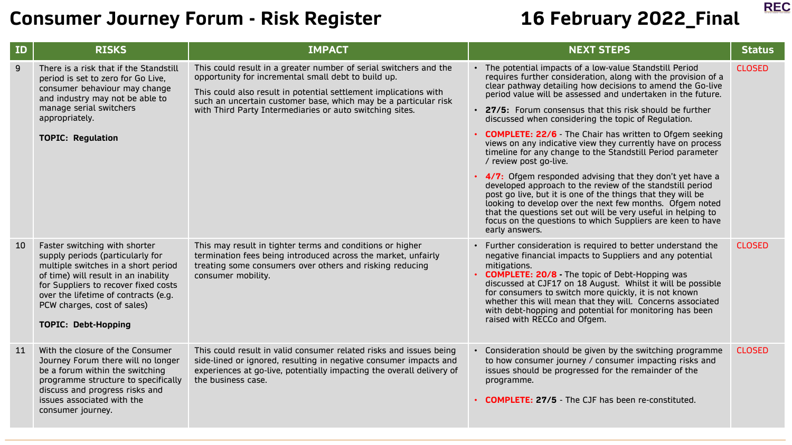

| ID | <b>RISKS</b>                                                                                                                                                                                                                                                                                  | <b>IMPACT</b>                                                                                                                                                                                                                                                                                                               | <b>NEXT STEPS</b><br><b>Status</b>                                                                                                                                                                                                                                                                                                                                                                                                                                                                                                                                                                                                                                                                                                                                                                                                                                                                                                      |
|----|-----------------------------------------------------------------------------------------------------------------------------------------------------------------------------------------------------------------------------------------------------------------------------------------------|-----------------------------------------------------------------------------------------------------------------------------------------------------------------------------------------------------------------------------------------------------------------------------------------------------------------------------|-----------------------------------------------------------------------------------------------------------------------------------------------------------------------------------------------------------------------------------------------------------------------------------------------------------------------------------------------------------------------------------------------------------------------------------------------------------------------------------------------------------------------------------------------------------------------------------------------------------------------------------------------------------------------------------------------------------------------------------------------------------------------------------------------------------------------------------------------------------------------------------------------------------------------------------------|
| 9  | There is a risk that if the Standstill<br>period is set to zero for Go Live,<br>consumer behaviour may change<br>and industry may not be able to<br>manage serial switchers<br>appropriately.<br><b>TOPIC: Regulation</b>                                                                     | This could result in a greater number of serial switchers and the<br>opportunity for incremental small debt to build up.<br>This could also result in potential settlement implications with<br>such an uncertain customer base, which may be a particular risk<br>with Third Party Intermediaries or auto switching sites. | • The potential impacts of a low-value Standstill Period<br><b>CLOSED</b><br>requires further consideration, along with the provision of a<br>clear pathway detailing how decisions to amend the Go-live<br>period value will be assessed and undertaken in the future.<br>• 27/5: Forum consensus that this risk should be further<br>discussed when considering the topic of Regulation.<br><b>COMPLETE: 22/6</b> The Chair has written to Ofgem seeking<br>views on any indicative view they currently have on process<br>timeline for any change to the Standstill Period parameter<br>/ review post go-live.<br>• 4/7: Ofgem responded advising that they don't yet have a<br>developed approach to the review of the standstill period<br>post go live, but it is one of the things that they will be<br>looking to develop over the next few months. Ofgem noted<br>that the questions set out will be very useful in helping to |
| 10 | Faster switching with shorter<br>supply periods (particularly for<br>multiple switches in a short period<br>of time) will result in an inability<br>for Suppliers to recover fixed costs<br>over the lifetime of contracts (e.g.<br>PCW charges, cost of sales)<br><b>TOPIC: Debt-Hopping</b> | This may result in tighter terms and conditions or higher<br>termination fees being introduced across the market, unfairly<br>treating some consumers over others and risking reducing<br>consumer mobility.                                                                                                                | focus on the questions to which Suppliers are keen to have<br>early answers.<br><b>CLOSED</b><br>• Further consideration is required to better understand the<br>negative financial impacts to Suppliers and any potential<br>mitigations.<br><b>COMPLETE: 20/8</b> The topic of Debt-Hopping was<br>discussed at CJF17 on 18 August. Whilst it will be possible<br>for consumers to switch more quickly, it is not known<br>whether this will mean that they will. Concerns associated<br>with debt-hopping and potential for monitoring has been<br>raised with RECCo and Ofgem.                                                                                                                                                                                                                                                                                                                                                      |
| 11 | With the closure of the Consumer<br>Journey Forum there will no longer<br>be a forum within the switching<br>programme structure to specifically<br>discuss and progress risks and<br>issues associated with the<br>consumer journey.                                                         | This could result in valid consumer related risks and issues being<br>side-lined or ignored, resulting in negative consumer impacts and<br>experiences at go-live, potentially impacting the overall delivery of<br>the business case.                                                                                      | <b>CLOSED</b><br>• Consideration should be given by the switching programme<br>to how consumer journey / consumer impacting risks and<br>issues should be progressed for the remainder of the<br>programme.<br><b>COMPLETE: 27/5 - The CJF has been re-constituted.</b>                                                                                                                                                                                                                                                                                                                                                                                                                                                                                                                                                                                                                                                                 |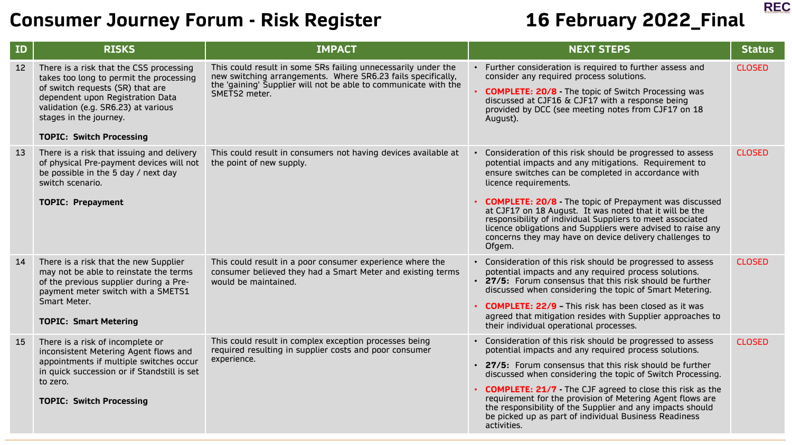**REC** 

| ID | <b>RISKS</b>                                                                                                                                                                                                                                                   | <b>IMPACT</b>                                                                                                                                                                                                     | <b>NEXT STEPS</b>                                                                                                                                                                                                                                                                                                                                                                                                                                                                                                               | <b>Status</b> |
|----|----------------------------------------------------------------------------------------------------------------------------------------------------------------------------------------------------------------------------------------------------------------|-------------------------------------------------------------------------------------------------------------------------------------------------------------------------------------------------------------------|---------------------------------------------------------------------------------------------------------------------------------------------------------------------------------------------------------------------------------------------------------------------------------------------------------------------------------------------------------------------------------------------------------------------------------------------------------------------------------------------------------------------------------|---------------|
| 12 | There is a risk that the CSS processing<br>takes too long to permit the processing<br>of switch requests (SR) that are<br>dependent upon Registration Data<br>validation (e.g. SR6.23) at various<br>stages in the journey.<br><b>TOPIC: Switch Processing</b> | This could result in some SRs failing unnecessarily under the<br>new switching arrangements. Where SR6.23 fails specifically,<br>the 'gaining' Supplier will not be able to communicate with the<br>SMETS2 meter. | • Further consideration is required to further assess and<br>consider any required process solutions.<br><b>COMPLETE: 20/8</b> The topic of Switch Processing was<br>discussed at CJF16 & CJF17 with a response being<br>provided by DCC (see meeting notes from CJF17 on 18<br>August).                                                                                                                                                                                                                                        | <b>CLOSED</b> |
| 13 | There is a risk that issuing and delivery<br>of physical Pre-payment devices will not<br>be possible in the 5 day / next day<br>switch scenario.<br><b>TOPIC: Prepayment</b>                                                                                   | This could result in consumers not having devices available at<br>the point of new supply.                                                                                                                        | • Consideration of this risk should be progressed to assess<br>potential impacts and any mitigations. Requirement to<br>ensure switches can be completed in accordance with<br>licence requirements.<br><b>COMPLETE: 20/8</b> The topic of Prepayment was discussed<br>at CJF17 on 18 August. It was noted that it will be the<br>responsibility of individual Suppliers to meet associated<br>licence obligations and Suppliers were advised to raise any<br>concerns they may have on device delivery challenges to<br>Ofgem. | <b>CLOSED</b> |
| 14 | There is a risk that the new Supplier<br>may not be able to reinstate the terms<br>of the previous supplier during a Pre-<br>payment meter switch with a SMETS1<br>Smart Meter.<br><b>TOPIC: Smart Metering</b>                                                | This could result in a poor consumer experience where the<br>consumer believed they had a Smart Meter and existing terms<br>would be maintained.                                                                  | • Consideration of this risk should be progressed to assess<br>potential impacts and any required process solutions.<br>• 27/5: Forum consensus that this risk should be further<br>discussed when considering the topic of Smart Metering.<br><b>COMPLETE: 22/9 - This risk has been closed as it was</b><br>agreed that mitigation resides with Supplier approaches to<br>their individual operational processes.                                                                                                             | <b>CLOSED</b> |
| 15 | There is a risk of incomplete or<br>inconsistent Metering Agent flows and<br>appointments if multiple switches occur<br>in quick succession or if Standstill is set<br>to zero.<br><b>TOPIC: Switch Processing</b>                                             | This could result in complex exception processes being<br>required resulting in supplier costs and poor consumer<br>experience.                                                                                   | • Consideration of this risk should be progressed to assess<br>potential impacts and any required process solutions.<br>• 27/5: Forum consensus that this risk should be further<br>discussed when considering the topic of Switch Processing.<br><b>COMPLETE: 21/7</b> The CJF agreed to close this risk as the<br>requirement for the provision of Metering Agent flows are<br>the responsibility of the Supplier and any impacts should<br>be picked up as part of individual Business Readiness<br>activities.              | <b>CLOSED</b> |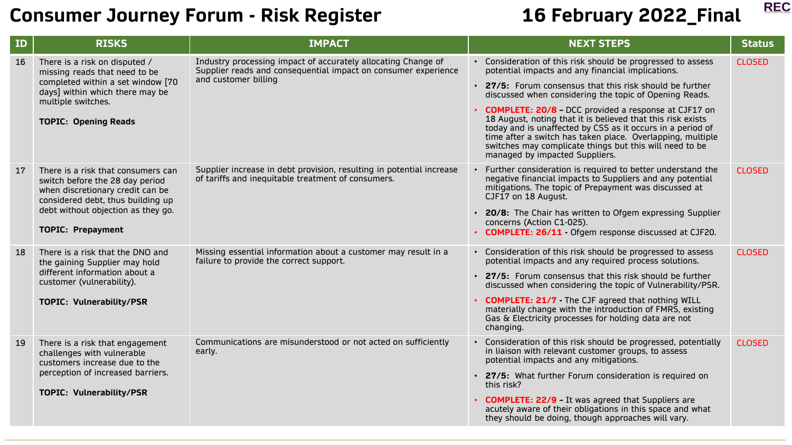

| ID | <b>RISKS</b>                                                                                                                                                 | <b>IMPACT</b>                                                                                                                                           | <b>NEXT STEPS</b>                                                                                                                                                                                                                                                                                                                              | <b>Status</b> |
|----|--------------------------------------------------------------------------------------------------------------------------------------------------------------|---------------------------------------------------------------------------------------------------------------------------------------------------------|------------------------------------------------------------------------------------------------------------------------------------------------------------------------------------------------------------------------------------------------------------------------------------------------------------------------------------------------|---------------|
| 16 | There is a risk on disputed /<br>missing reads that need to be<br>completed within a set window [70<br>days] within which there may be<br>multiple switches. | Industry processing impact of accurately allocating Change of<br>Supplier reads and consequential impact on consumer experience<br>and customer billing | • Consideration of this risk should be progressed to assess<br>potential impacts and any financial implications.                                                                                                                                                                                                                               | <b>CLOSED</b> |
|    |                                                                                                                                                              |                                                                                                                                                         | • 27/5: Forum consensus that this risk should be further<br>discussed when considering the topic of Opening Reads.                                                                                                                                                                                                                             |               |
|    | <b>TOPIC: Opening Reads</b>                                                                                                                                  |                                                                                                                                                         | • COMPLETE: 20/8 - DCC provided a response at CJF17 on<br>18 August, noting that it is believed that this risk exists<br>today and is unaffected by CSS as it occurs in a period of<br>time after a switch has taken place. Overlapping, multiple<br>switches may complicate things but this will need to be<br>managed by impacted Suppliers. |               |
| 17 | There is a risk that consumers can<br>switch before the 28 day period<br>when discretionary credit can be<br>considered debt, thus building up               | Supplier increase in debt provision, resulting in potential increase<br>of tariffs and inequitable treatment of consumers.                              | • Further consideration is required to better understand the<br>negative financial impacts to Suppliers and any potential<br>mitigations. The topic of Prepayment was discussed at<br>CJF17 on 18 August.                                                                                                                                      | <b>CLOSED</b> |
|    | debt without objection as they go.<br><b>TOPIC: Prepayment</b>                                                                                               |                                                                                                                                                         | • 20/8: The Chair has written to Ofgem expressing Supplier<br>concerns (Action C1-025).<br>• COMPLETE: 26/11 - Ofgem response discussed at CJF20.                                                                                                                                                                                              |               |
| 18 | There is a risk that the DNO and<br>the gaining Supplier may hold<br>different information about a                                                           | Missing essential information about a customer may result in a<br>failure to provide the correct support.                                               | • Consideration of this risk should be progressed to assess<br>potential impacts and any required process solutions.                                                                                                                                                                                                                           | <b>CLOSED</b> |
|    | customer (vulnerability).                                                                                                                                    |                                                                                                                                                         | • 27/5: Forum consensus that this risk should be further<br>discussed when considering the topic of Vulnerability/PSR.                                                                                                                                                                                                                         |               |
|    | <b>TOPIC: Vulnerability/PSR</b>                                                                                                                              |                                                                                                                                                         | • COMPLETE: 21/7 - The CJF agreed that nothing WILL<br>materially change with the introduction of FMRS, existing<br>Gas & Electricity processes for holding data are not<br>changing.                                                                                                                                                          |               |
| 19 | There is a risk that engagement<br>challenges with vulnerable<br>customers increase due to the                                                               | Communications are misunderstood or not acted on sufficiently<br>early.                                                                                 | • Consideration of this risk should be progressed, potentially<br>in liaison with relevant customer groups, to assess<br>potential impacts and any mitigations.                                                                                                                                                                                | <b>CLOSED</b> |
|    | perception of increased barriers.                                                                                                                            |                                                                                                                                                         | • 27/5: What further Forum consideration is required on<br>this risk?                                                                                                                                                                                                                                                                          |               |
|    | <b>TOPIC: Vulnerability/PSR</b>                                                                                                                              |                                                                                                                                                         | • COMPLETE: 22/9 - It was agreed that Suppliers are<br>acutely aware of their obligations in this space and what<br>they should be doing, though approaches will vary.                                                                                                                                                                         |               |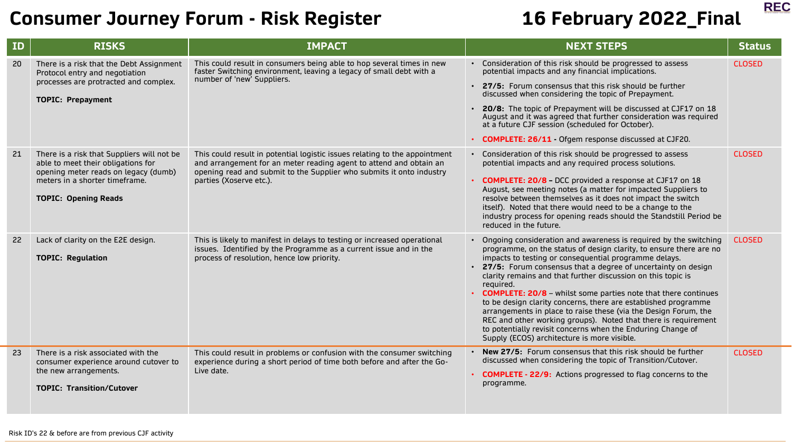

| <b>ID</b> | <b>RISKS</b>                                                                                                                                                                              | <b>IMPACT</b>                                                                                                                                                                                                                                       | <b>NEXT STEPS</b>                                                                                                                                                                                                                                                                                                                                                                                                                                                                                                                                                                                                                                                                                                                              | <b>Status</b> |
|-----------|-------------------------------------------------------------------------------------------------------------------------------------------------------------------------------------------|-----------------------------------------------------------------------------------------------------------------------------------------------------------------------------------------------------------------------------------------------------|------------------------------------------------------------------------------------------------------------------------------------------------------------------------------------------------------------------------------------------------------------------------------------------------------------------------------------------------------------------------------------------------------------------------------------------------------------------------------------------------------------------------------------------------------------------------------------------------------------------------------------------------------------------------------------------------------------------------------------------------|---------------|
| 20        | There is a risk that the Debt Assignment<br>Protocol entry and negotiation<br>processes are protracted and complex.<br><b>TOPIC: Prepayment</b>                                           | This could result in consumers being able to hop several times in new<br>faster Switching environment, leaving a legacy of small debt with a<br>number of 'new' Suppliers.                                                                          | • Consideration of this risk should be progressed to assess<br>potential impacts and any financial implications.<br>• 27/5: Forum consensus that this risk should be further<br>discussed when considering the topic of Prepayment.<br>• 20/8: The topic of Prepayment will be discussed at CJF17 on 18<br>August and it was agreed that further consideration was required<br>at a future CJF session (scheduled for October).<br>• COMPLETE: 26/11 - Ofgem response discussed at CJF20.                                                                                                                                                                                                                                                      | <b>CLOSED</b> |
| 21        | There is a risk that Suppliers will not be<br>able to meet their obligations for<br>opening meter reads on legacy (dumb)<br>meters in a shorter timeframe.<br><b>TOPIC: Opening Reads</b> | This could result in potential logistic issues relating to the appointment<br>and arrangement for an meter reading agent to attend and obtain an<br>opening read and submit to the Supplier who submits it onto industry<br>parties (Xoserve etc.). | • Consideration of this risk should be progressed to assess<br>potential impacts and any required process solutions.<br>• COMPLETE: 20/8 - DCC provided a response at CJF17 on 18<br>August, see meeting notes (a matter for impacted Suppliers to<br>resolve between themselves as it does not impact the switch<br>itself). Noted that there would need to be a change to the<br>industry process for opening reads should the Standstill Period be<br>reduced in the future.                                                                                                                                                                                                                                                                | <b>CLOSED</b> |
| 22        | Lack of clarity on the E2E design.<br><b>TOPIC: Regulation</b>                                                                                                                            | This is likely to manifest in delays to testing or increased operational<br>issues. Identified by the Programme as a current issue and in the<br>process of resolution, hence low priority.                                                         | • Ongoing consideration and awareness is required by the switching<br>programme, on the status of design clarity, to ensure there are no<br>impacts to testing or consequential programme delays.<br>• 27/5: Forum consensus that a degree of uncertainty on design<br>clarity remains and that further discussion on this topic is<br>required.<br><b>COMPLETE: 20/8</b> - whilst some parties note that there continues<br>to be design clarity concerns, there are established programme<br>arrangements in place to raise these (via the Design Forum, the<br>REC and other working groups). Noted that there is requirement<br>to potentially revisit concerns when the Enduring Change of<br>Supply (ECOS) architecture is more visible. | <b>CLOSED</b> |
| 23        | There is a risk associated with the<br>consumer experience around cutover to<br>the new arrangements.<br><b>TOPIC: Transition/Cutover</b>                                                 | This could result in problems or confusion with the consumer switching<br>experience during a short period of time both before and after the Go-<br>Live date.                                                                                      | • New 27/5: Forum consensus that this risk should be further<br>discussed when considering the topic of Transition/Cutover.<br>• COMPLETE - 22/9: Actions progressed to flag concerns to the<br>programme.                                                                                                                                                                                                                                                                                                                                                                                                                                                                                                                                     | <b>CLOSED</b> |